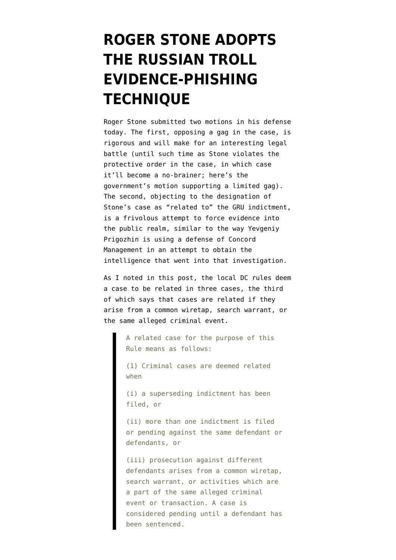## **[ROGER STONE ADOPTS](https://www.emptywheel.net/2019/02/08/roger-stone-adopts-the-russian-troll-tactic/) [THE RUSSIAN TROLL](https://www.emptywheel.net/2019/02/08/roger-stone-adopts-the-russian-troll-tactic/) [EVIDENCE-PHISHING](https://www.emptywheel.net/2019/02/08/roger-stone-adopts-the-russian-troll-tactic/) [TECHNIQUE](https://www.emptywheel.net/2019/02/08/roger-stone-adopts-the-russian-troll-tactic/)**

Roger Stone submitted two motions in his defense today. The first, [opposing a gag in the case](https://www.documentcloud.org/documents/5732539-Response-to-non-motion-Document.html), is rigorous and will make for an interesting legal battle (until such time as Stone violates the protective order in the case, in which case it'll become a no-brainer; [here's the](https://www.documentcloud.org/documents/5732966-Response-to-non-motion-Document.html) [government's motion supporting a limited gag](https://www.documentcloud.org/documents/5732966-Response-to-non-motion-Document.html)). The second, [objecting to the designation](https://assets.documentcloud.org/documents/5732538/Notice-Other.pdf) of Stone's case as "related to" the [GRU indictment,](https://www.justice.gov/file/1080281/download) is a frivolous attempt to force evidence into the public realm, similar to the way [Yevgeniy](https://www.emptywheel.net/2018/12/22/putins-chef-evgeniy-prigozhin-says-he-needs-discovery-so-he-can-figure-out-if-hes-putins-boss-or-his-chef/) [Prigozhin is using](https://www.emptywheel.net/2018/12/22/putins-chef-evgeniy-prigozhin-says-he-needs-discovery-so-he-can-figure-out-if-hes-putins-boss-or-his-chef/) a defense of Concord Management in an attempt to obtain the intelligence that went into that investigation.

As I noted in [this post,](https://www.emptywheel.net/2019/01/27/two-details-many-are-missing-in-about-the-stone-indictment/) the [local DC rules](https://www.dcd.uscourts.gov/sites/dcd/files/local_rules/LocalRulesApril2016.pdf) deem a case to be related in three cases, the third of which says that cases are related if they arise from a common wiretap, search warrant, or the same alleged criminal event.

> A related case for the purpose of this Rule means as follows:

(1) Criminal cases are deemed related when

(i) a superseding indictment has been filed, or

(ii) more than one indictment is filed or pending against the same defendant or defendants, or

(iii) prosecution against different defendants arises from a common wiretap, search warrant, or activities which are a part of the same alleged criminal event or transaction. A case is considered pending until a defendant has been sentenced.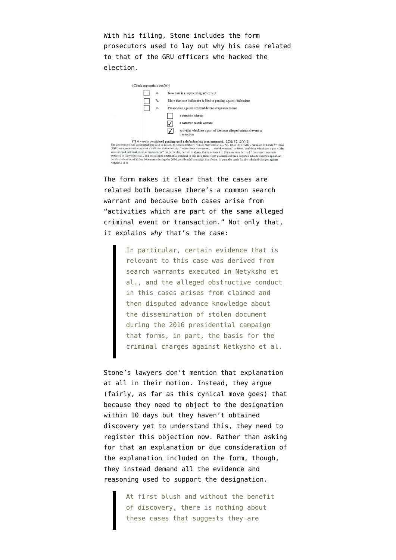With his filing, Stone includes the form prosecutors used to lay out why his case related to that of the GRU officers who hacked the election.



(\*) A case is considered pending until a defendant has been sentenced. LCrR 57.12(a)(1)<br>The government has designated this case as related to United States v. Viktor Netyksho et al., No. 18-er-215 (ABJ), pursuant to LCrR executed in Netyksho et al., and the alleged obstructive conduct in this case arises from claimed and then disputed advance knowledge about the dissemination of stolen documents during the 2016 presidential campaign that forms, in part, the basis for the criminal charges against Netyksho et al.

The form makes it clear that the cases are related both because there's a common search warrant and because both cases arise from "activities which are part of the same alleged criminal event or transaction." Not only that, it explains *why* that's the case:

> In particular, certain evidence that is relevant to this case was derived from search warrants executed in Netyksho et al., and the alleged obstructive conduct in this cases arises from claimed and then disputed advance knowledge about the dissemination of stolen document during the 2016 presidential campaign that forms, in part, the basis for the criminal charges against Netkysho et al.

Stone's lawyers don't mention that explanation at all in their motion. Instead, they argue (fairly, as far as this cynical move goes) that because they need to object to the designation within 10 days but they haven't obtained discovery yet to understand this, they need to register this objection now. Rather than asking for that an explanation or due consideration of the explanation included on the form, though, they instead demand all the evidence and reasoning used to support the designation.

> At first blush and without the benefit of discovery, there is nothing about these cases that suggests they are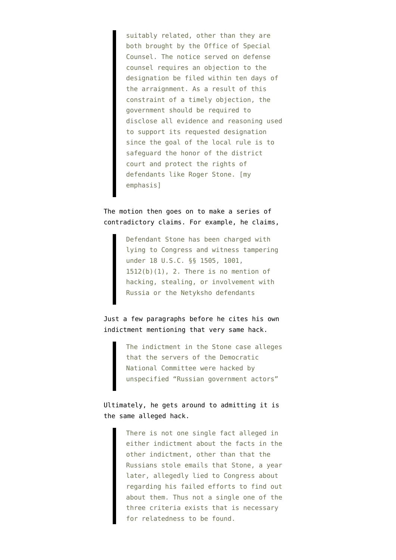suitably related, other than they are both brought by the Office of Special Counsel. The notice served on defense counsel requires an objection to the designation be filed within ten days of the arraignment. As a result of this constraint of a timely objection, the government should be required to disclose all evidence and reasoning used to support its requested designation since the goal of the local rule is to safeguard the honor of the district court and protect the rights of defendants like Roger Stone. [my emphasis]

The motion then goes on to make a series of contradictory claims. For example, he claims,

> Defendant Stone has been charged with lying to Congress and witness tampering under 18 U.S.C. §§ 1505, 1001,  $1512(b)(1)$ , 2. There is no mention of hacking, stealing, or involvement with Russia or the Netyksho defendants

## Just a few paragraphs before he cites his own [indictment](https://www.justice.gov/file/1124706/download) mentioning that very same hack.

The indictment in the Stone case alleges that the servers of the Democratic National Committee were hacked by unspecified "Russian government actors"

## Ultimately, he gets around to admitting it is the same alleged hack.

There is not one single fact alleged in either indictment about the facts in the other indictment, other than that the Russians stole emails that Stone, a year later, allegedly lied to Congress about regarding his failed efforts to find out about them. Thus not a single one of the three criteria exists that is necessary for relatedness to be found.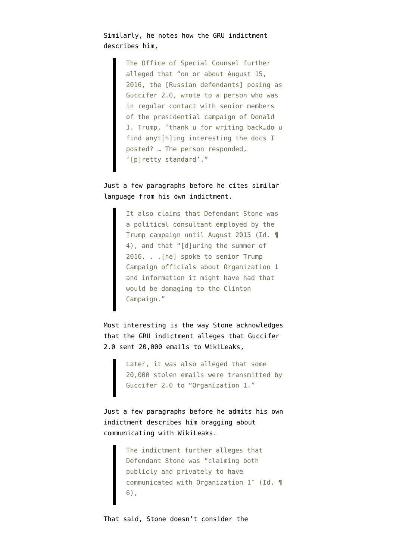Similarly, he notes how the GRU indictment describes him,

> The Office of Special Counsel further alleged that "on or about August 15, 2016, the [Russian defendants] posing as Guccifer 2.0, wrote to a person who was in regular contact with senior members of the presidential campaign of Donald J. Trump, 'thank u for writing back…do u find anyt[h]ing interesting the docs I posted? … The person responded, '[p]retty standard'."

## Just a few paragraphs before he cites similar language from his own indictment.

It also claims that Defendant Stone was a political consultant employed by the Trump campaign until August 2015 (Id. ¶ 4), and that "[d]uring the summer of 2016. . .[he] spoke to senior Trump Campaign officials about Organization 1 and information it might have had that would be damaging to the Clinton Campaign."

Most interesting is the way Stone acknowledges that the GRU indictment alleges that Guccifer 2.0 sent 20,000 emails to WikiLeaks,

> Later, it was also alleged that some 20,000 stolen emails were transmitted by Guccifer 2.0 to "Organization 1."

Just a few paragraphs before he admits his own indictment describes him bragging about communicating with WikiLeaks.

> The indictment further alleges that Defendant Stone was "claiming both publicly and privately to have communicated with Organization 1″ (Id. ¶ 6),

That said, Stone doesn't consider the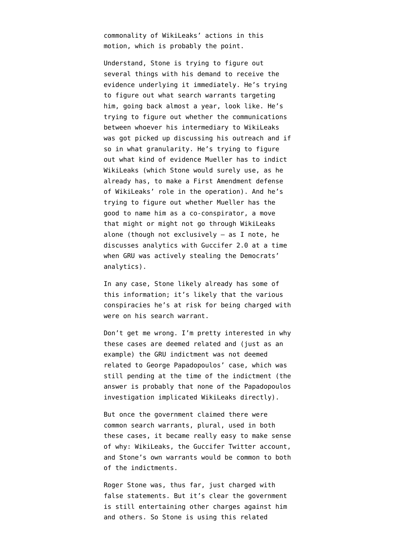commonality of WikiLeaks' actions in this motion, which is probably the point.

Understand, Stone is trying to figure out several things with his demand to receive the evidence underlying it immediately. He's trying to figure out what search warrants targeting him, going back almost a year, look like. He's trying to figure out whether the communications between whoever his intermediary to WikiLeaks was got picked up discussing his outreach and if so in what granularity. He's trying to figure out what kind of evidence Mueller has to indict WikiLeaks (which Stone would surely use, as he already has, to make a First Amendment defense of WikiLeaks' role in the operation). And he's trying to figure out whether Mueller has the good to name him as a co-conspirator, a move that might or might not go through WikiLeaks alone (though not exclusively — as I [note,](https://www.emptywheel.net/2018/12/09/information-in-amended-dnc-lawsuit-reveals-that-roger-stone-is-at-significantly-greater-risk-for-cfaa-indictment/) he discusses analytics with Guccifer 2.0 at a time when GRU was actively stealing the Democrats' analytics).

In any case, Stone likely already has some of this information; it's likely that the various conspiracies he's at risk for being charged with were on his search warrant.

Don't get me wrong. I'm pretty interested in why these cases are deemed related and (just as an example) the GRU indictment was not deemed related to George Papadopoulos' case, which was still pending at the time of the indictment (the answer is probably that none of the Papadopoulos investigation implicated WikiLeaks directly).

But once the government claimed there were common search warrants, plural, used in both these cases, it became really easy to make sense of why: WikiLeaks, the Guccifer Twitter account, and Stone's own warrants would be common to both of the indictments.

Roger Stone was, thus far, just charged with false statements. But it's clear the government is still [entertaining other charges](https://www.cnn.com/2019/01/28/politics/mueller-investigation-roger-stone-andrew-miller/index.html) against him and others. So Stone is using this related